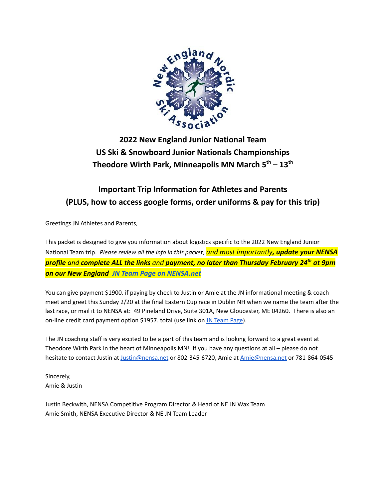

**2022 New England Junior National Team US Ski & Snowboard Junior Nationals Championships Theodore Wirth Park, Minneapolis MN March 5 th – 13 th**

# **Important Trip Information for Athletes and Parents (PLUS, how to access google forms, order uniforms & pay for this trip)**

Greetings JN Athletes and Parents,

This packet is designed to give you information about logistics specific to the 2022 New England Junior National Team trip. *Please review all the info in this packet*, *and most importantly, update your NENSA profile and complete ALL the links and payment, no later than Thursday February 24th at 9pm on our New England [JN Team Page on NENSA.net](https://nensa.net/jn-packetpayment/)*

You can give payment \$1900. if paying by check to Justin or Amie at the JN informational meeting & coach meet and greet this Sunday 2/20 at the final Eastern Cup race in Dublin NH when we name the team after the last race, or mail it to NENSA at: 49 Pineland Drive, Suite 301A, New Gloucester, ME 04260. There is also an on-line credit card payment option \$1957. total (use link on [JN Team Page](https://nensa.net/jn-packetpayment/)).

The JN coaching staff is very excited to be a part of this team and is looking forward to a great event at Theodore Wirth Park in the heart of Minneapolis MN! If you have any questions at all – please do not hesitate to contact Justin at [Justin@nensa.net](mailto:Justin@nensa.net) or 802-345-6720, Amie at [Amie@nensa.net](mailto:Amie@nensa.net) or 781-864-0545

Sincerely, Amie & Justin

Justin Beckwith, NENSA Competitive Program Director & Head of NE JN Wax Team Amie Smith, NENSA Executive Director & NE JN Team Leader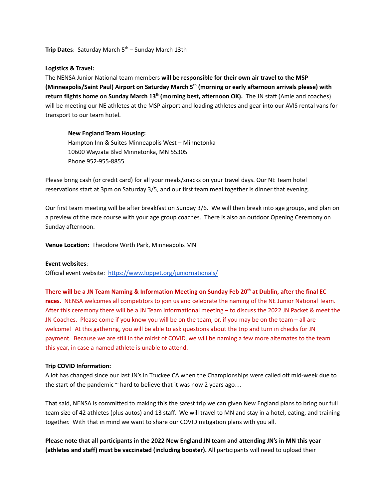**Trip Dates:** Saturday March 5<sup>th</sup> – Sunday March 13th

#### **Logistics & Travel:**

The NENSA Junior National team members **will be responsible for their own air travel to the MSP (Minneapolis/Saint Paul) Airport on Saturday March 5th (morning or early afternoon arrivals please) with return flights home on Sunday March 13th (morning best, afternoon OK).** The JN staff (Amie and coaches) will be meeting our NE athletes at the MSP airport and loading athletes and gear into our AVIS rental vans for transport to our team hotel.

#### **New England Team Housing:**

Hampton Inn & Suites Minneapolis West – Minnetonka 10600 Wayzata Blvd Minnetonka, MN 55305 Phone 952-955-8855

Please bring cash (or credit card) for all your meals/snacks on your travel days. Our NE Team hotel reservations start at 3pm on Saturday 3/5, and our first team meal together is dinner that evening.

Our first team meeting will be after breakfast on Sunday 3/6. We will then break into age groups, and plan on a preview of the race course with your age group coaches. There is also an outdoor Opening Ceremony on Sunday afternoon.

**Venue Location:** Theodore Wirth Park, Minneapolis MN

#### **Event websites**:

Official event website: <https://www.loppet.org/juniornationals/>

**There will be a JN Team Naming & Information Meeting on Sunday Feb 20th at Dublin, after the final EC races.** NENSA welcomes all competitors to join us and celebrate the naming of the NE Junior National Team. After this ceremony there will be a JN Team informational meeting – to discuss the 2022 JN Packet & meet the JN Coaches. Please come if you know you will be on the team, or, if you may be on the team – all are welcome! At this gathering, you will be able to ask questions about the trip and turn in checks for JN payment. Because we are still in the midst of COVID, we will be naming a few more alternates to the team this year, in case a named athlete is unable to attend.

#### **Trip COVID Information:**

A lot has changed since our last JN's in Truckee CA when the Championships were called off mid-week due to the start of the pandemic  $\sim$  hard to believe that it was now 2 years ago...

That said, NENSA is committed to making this the safest trip we can given New England plans to bring our full team size of 42 athletes (plus autos) and 13 staff. We will travel to MN and stay in a hotel, eating, and training together. With that in mind we want to share our COVID mitigation plans with you all.

**Please note that all participants in the 2022 New England JN team and attending JN's in MN this year (athletes and staff) must be vaccinated (including booster).** All participants will need to upload their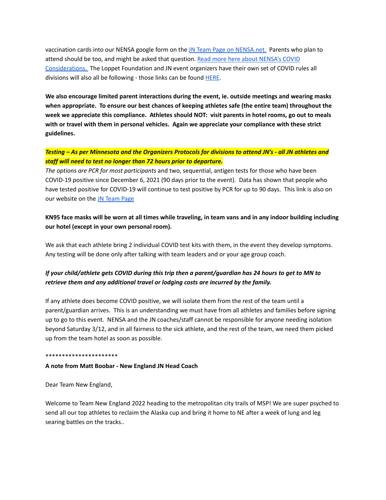vaccination cards into our NENSA google form on the [JN Team Page on NENSA.net.](https://nensa.net/jn-packetpayment/) Parents who plan to attend should be too, and might be asked that question. [Read more here about NENSA's COVID](https://nensa.net/nensa-covid-19-considerations/) [Considerations.](https://nensa.net/nensa-covid-19-considerations/) The Loppet Foundation and JN event organizers have their own set of COVID rules all divisions will also all be following - those links can be found [HERE](https://www.loppet.org/juniornationals/jninformation/).

**We also encourage limited parent interactions during the event, ie. outside meetings and wearing masks when appropriate. To ensure our best chances of keeping athletes safe (the entire team) throughout the week we appreciate this compliance. Athletes should NOT: visit parents in hotel rooms, go out to meals with or travel with them in personal vehicles. Again we appreciate your compliance with these strict guidelines.**

## *Testing – As per Minnesota and the Organizers Protocols for divisions to attend JN's - all JN athletes and staff will need to test no longer than 72 hours prior to departure.*

*The options are PCR for most participants* and two, sequential, antigen tests for those who have been COVID-19 positive since December 6, 2021 (90 days prior to the event). Data has shown that people who have tested positive for COVID-19 will continue to test positive by PCR for up to 90 days. This link is also on our website on the [JN Team Page](https://nensa.net/jn-packetpayment/)

# **KN95 face masks will be worn at all times while traveling, in team vans and in any indoor building including our hotel (except in your own personal room).**

We ask that each athlete bring 2 individual COVID test kits with them, in the event they develop symptoms. Any testing will be done only after talking with team leaders and or your age group coach.

# *If your child/athlete gets COVID during this trip then a parent/guardian has 24 hours to get to MN to retrieve them and any additional travel or lodging costs are incurred by the family.*

If any athlete does become COVID positive, we will isolate them from the rest of the team until a parent/guardian arrives. This is an understanding we must have from all athletes and families before signing up to go to this event. NENSA and the JN coaches/staff cannot be responsible for anyone needing isolation beyond Saturday 3/12, and in all fairness to the sick athlete, and the rest of the team, we need them picked up from the team hotel as soon as possible.

#### \*\*\*\*\*\*\*\*\*\*\*\*\*\*\*\*\*\*\*\*\*\*

#### **A note from Matt Boobar - New England JN Head Coach**

Dear Team New England,

Welcome to Team New England 2022 heading to the metropolitan city trails of MSP! We are super psyched to send all our top athletes to reclaim the Alaska cup and bring it home to NE after a week of lung and leg searing battles on the tracks..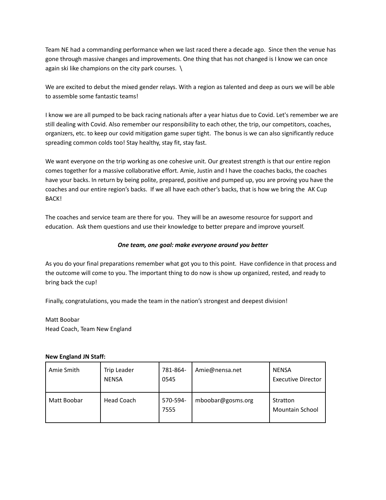Team NE had a commanding performance when we last raced there a decade ago. Since then the venue has gone through massive changes and improvements. One thing that has not changed is I know we can once again ski like champions on the city park courses. \

We are excited to debut the mixed gender relays. With a region as talented and deep as ours we will be able to assemble some fantastic teams!

I know we are all pumped to be back racing nationals after a year hiatus due to Covid. Let's remember we are still dealing with Covid. Also remember our responsibility to each other, the trip, our competitors, coaches, organizers, etc. to keep our covid mitigation game super tight. The bonus is we can also significantly reduce spreading common colds too! Stay healthy, stay fit, stay fast.

We want everyone on the trip working as one cohesive unit. Our greatest strength is that our entire region comes together for a massive collaborative effort. Amie, Justin and I have the coaches backs, the coaches have your backs. In return by being polite, prepared, positive and pumped up, you are proving you have the coaches and our entire region's backs. If we all have each other's backs, that is how we bring the AK Cup BACK!

The coaches and service team are there for you. They will be an awesome resource for support and education. Ask them questions and use their knowledge to better prepare and improve yourself.

## *One team, one goal: make everyone around you better*

As you do your final preparations remember what got you to this point. Have confidence in that process and the outcome will come to you. The important thing to do now is show up organized, rested, and ready to bring back the cup!

Finally, congratulations, you made the team in the nation's strongest and deepest division!

Matt Boobar Head Coach, Team New England

#### **New England JN Staff:**

| Amie Smith  | Trip Leader<br><b>NENSA</b> | 781-864-<br>0545 | Amie@nensa.net    | <b>NENSA</b><br><b>Executive Director</b> |
|-------------|-----------------------------|------------------|-------------------|-------------------------------------------|
| Matt Boobar | Head Coach                  | 570-594-<br>7555 | mboobar@gosms.org | Stratton<br><b>Mountain School</b>        |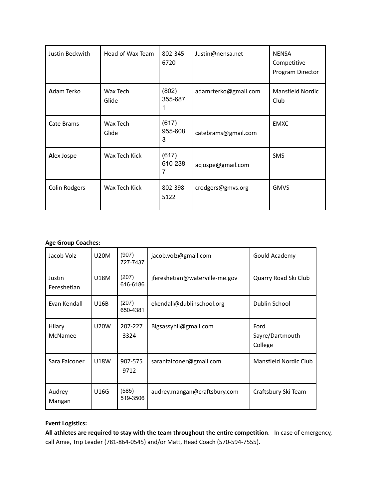| Justin Beckwith      | Head of Wax Team  | 802-345-<br>6720      | Justin@nensa.net     | <b>NENSA</b><br>Competitive<br>Program Director |
|----------------------|-------------------|-----------------------|----------------------|-------------------------------------------------|
| <b>A</b> dam Terko   | Wax Tech<br>Glide | (802)<br>355-687      | adamrterko@gmail.com | <b>Mansfield Nordic</b><br>Club                 |
| <b>Cate Brams</b>    | Wax Tech<br>Glide | (617)<br>955-608<br>3 | catebrams@gmail.com  | <b>EMXC</b>                                     |
| Alex Jospe           | Wax Tech Kick     | (617)<br>610-238<br>7 | acjospe@gmail.com    | <b>SMS</b>                                      |
| <b>Colin Rodgers</b> | Wax Tech Kick     | 802-398-<br>5122      | crodgers@gmvs.org    | <b>GMVS</b>                                     |

## **Age Group Coaches:**

| Jacob Volz            | <b>U20M</b> | (907)<br>727-7437  | jacob.volz@gmail.com           | Gould Academy                      |
|-----------------------|-------------|--------------------|--------------------------------|------------------------------------|
| Justin<br>Fereshetian | U18M        | (207)<br>616-6186  | jfereshetian@waterville-me.gov | Quarry Road Ski Club               |
| Evan Kendall          | U16B        | (207)<br>650-4381  | ekendall@dublinschool.org      | Dublin School                      |
| Hilary<br>McNamee     | <b>U20W</b> | 207-227<br>$-3324$ | Bigsassyhil@gmail.com          | Ford<br>Sayre/Dartmouth<br>College |
| Sara Falconer         | <b>U18W</b> | 907-575<br>$-9712$ | saranfalconer@gmail.com        | Mansfield Nordic Club              |
| Audrey<br>Mangan      | U16G        | (585)<br>519-3506  | audrey.mangan@craftsbury.com   | Craftsbury Ski Team                |

## **Event Logistics:**

**All athletes are required to stay with the team throughout the entire competition**. In case of emergency, call Amie, Trip Leader (781-864-0545) and/or Matt, Head Coach (570-594-7555).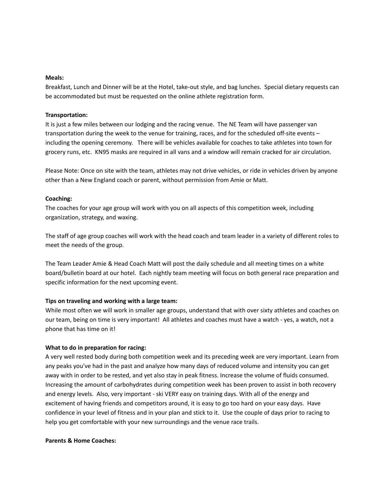#### **Meals:**

Breakfast, Lunch and Dinner will be at the Hotel, take-out style, and bag lunches. Special dietary requests can be accommodated but must be requested on the online athlete registration form.

#### **Transportation:**

It is just a few miles between our lodging and the racing venue. The NE Team will have passenger van transportation during the week to the venue for training, races, and for the scheduled off-site events – including the opening ceremony. There will be vehicles available for coaches to take athletes into town for grocery runs, etc. KN95 masks are required in all vans and a window will remain cracked for air circulation.

Please Note: Once on site with the team, athletes may not drive vehicles, or ride in vehicles driven by anyone other than a New England coach or parent, without permission from Amie or Matt.

#### **Coaching:**

The coaches for your age group will work with you on all aspects of this competition week, including organization, strategy, and waxing.

The staff of age group coaches will work with the head coach and team leader in a variety of different roles to meet the needs of the group.

The Team Leader Amie & Head Coach Matt will post the daily schedule and all meeting times on a white board/bulletin board at our hotel. Each nightly team meeting will focus on both general race preparation and specific information for the next upcoming event.

#### **Tips on traveling and working with a large team:**

While most often we will work in smaller age groups, understand that with over sixty athletes and coaches on our team, being on time is very important! All athletes and coaches must have a watch - yes, a watch, not a phone that has time on it!

#### **What to do in preparation for racing:**

A very well rested body during both competition week and its preceding week are very important. Learn from any peaks you've had in the past and analyze how many days of reduced volume and intensity you can get away with in order to be rested, and yet also stay in peak fitness. Increase the volume of fluids consumed. Increasing the amount of carbohydrates during competition week has been proven to assist in both recovery and energy levels. Also, very important - ski VERY easy on training days. With all of the energy and excitement of having friends and competitors around, it is easy to go too hard on your easy days. Have confidence in your level of fitness and in your plan and stick to it. Use the couple of days prior to racing to help you get comfortable with your new surroundings and the venue race trails.

#### **Parents & Home Coaches:**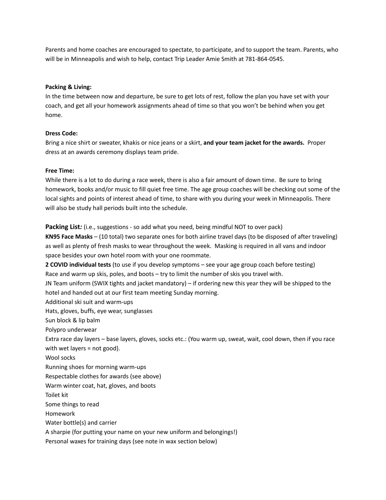Parents and home coaches are encouraged to spectate, to participate, and to support the team. Parents, who will be in Minneapolis and wish to help, contact Trip Leader Amie Smith at 781-864-0545.

#### **Packing & Living:**

In the time between now and departure, be sure to get lots of rest, follow the plan you have set with your coach, and get all your homework assignments ahead of time so that you won't be behind when you get home.

#### **Dress Code:**

Bring a nice shirt or sweater, khakis or nice jeans or a skirt, **and your team jacket for the awards.** Proper dress at an awards ceremony displays team pride.

#### **Free Time:**

While there is a lot to do during a race week, there is also a fair amount of down time. Be sure to bring homework, books and/or music to fill quiet free time. The age group coaches will be checking out some of the local sights and points of interest ahead of time, to share with you during your week in Minneapolis. There will also be study hall periods built into the schedule.

**Packing List***:* (i.e., suggestions - so add what you need, being mindful NOT to over pack) **KN95 Face Masks** – (10 total) two separate ones for both airline travel days (to be disposed of after traveling) as well as plenty of fresh masks to wear throughout the week. Masking is required in all vans and indoor space besides your own hotel room with your one roommate.

**2 COVID individual tests** (to use if you develop symptoms – see your age group coach before testing) Race and warm up skis, poles, and boots – try to limit the number of skis you travel with. JN Team uniform (SWIX tights and jacket mandatory) – if ordering new this year they will be shipped to the hotel and handed out at our first team meeting Sunday morning.

Additional ski suit and warm-ups

Hats, gloves, buffs, eye wear, sunglasses

Sun block & lip balm

Polypro underwear

Extra race day layers – base layers, gloves, socks etc.: (You warm up, sweat, wait, cool down, then if you race with wet layers = not good).

Wool socks

Running shoes for morning warm-ups

Respectable clothes for awards (see above)

Warm winter coat, hat, gloves, and boots

Toilet kit

Some things to read

Homework

Water bottle(s) and carrier

A sharpie (for putting your name on your new uniform and belongings!)

Personal waxes for training days (see note in wax section below)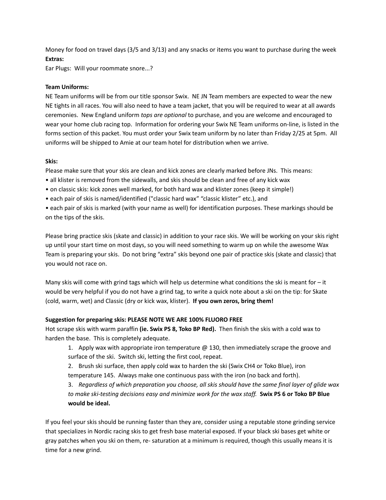Money for food on travel days (3/5 and 3/13) and any snacks or items you want to purchase during the week **Extras:**

Ear Plugs: Will your roommate snore...?

## **Team Uniforms:**

NE Team uniforms will be from our title sponsor Swix. NE JN Team members are expected to wear the new NE tights in all races. You will also need to have a team jacket, that you will be required to wear at all awards ceremonies. New England uniform *tops are optional* to purchase, and you are welcome and encouraged to wear your home club racing top. Information for ordering your Swix NE Team uniforms on-line, is listed in the forms section of this packet. You must order your Swix team uniform by no later than Friday 2/25 at 5pm. All uniforms will be shipped to Amie at our team hotel for distribution when we arrive.

## **Skis:**

Please make sure that your skis are clean and kick zones are clearly marked before JNs. This means:

- all klister is removed from the sidewalls, and skis should be clean and free of any kick wax
- on classic skis: kick zones well marked, for both hard wax and klister zones (keep it simple!)
- each pair of skis is named/identified ("classic hard wax" "classic klister" etc.), and

• each pair of skis is marked (with your name as well) for identification purposes. These markings should be on the tips of the skis.

Please bring practice skis (skate and classic) in addition to your race skis. We will be working on your skis right up until your start time on most days, so you will need something to warm up on while the awesome Wax Team is preparing your skis. Do not bring "extra" skis beyond one pair of practice skis (skate and classic) that you would not race on.

Many skis will come with grind tags which will help us determine what conditions the ski is meant for  $-i$ t would be very helpful if you do not have a grind tag, to write a quick note about a ski on the tip: for Skate (cold, warm, wet) and Classic (dry or kick wax, klister). **If you own zeros, bring them!**

## **Suggestion for preparing skis: PLEASE NOTE WE ARE 100% FLUORO FREE**

Hot scrape skis with warm paraffin **(ie. Swix PS 8, Toko BP Red).** Then finish the skis with a cold wax to harden the base. This is completely adequate.

1. Apply wax with appropriate iron temperature  $@$  130, then immediately scrape the groove and surface of the ski. Switch ski, letting the first cool, repeat.

2. Brush ski surface, then apply cold wax to harden the ski (Swix CH4 or Toko Blue), iron temperature 145. Always make one continuous pass with the iron (no back and forth).

3. *Regardless of which preparation you choose, all skis should have the same final layer of glide wax to make ski-testing decisions easy and minimize work for the wax staff.* **Swix PS 6 or Toko BP Blue would be ideal.**

If you feel your skis should be running faster than they are, consider using a reputable stone grinding service that specializes in Nordic racing skis to get fresh base material exposed. If your black ski bases get white or gray patches when you ski on them, re- saturation at a minimum is required, though this usually means it is time for a new grind.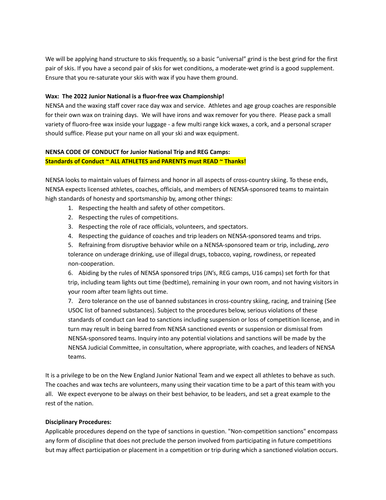We will be applying hand structure to skis frequently, so a basic "universal" grind is the best grind for the first pair of skis. If you have a second pair of skis for wet conditions, a moderate-wet grind is a good supplement. Ensure that you re-saturate your skis with wax if you have them ground.

#### **Wax: The 2022 Junior National is a fluor-free wax Championship!**

NENSA and the waxing staff cover race day wax and service. Athletes and age group coaches are responsible for their own wax on training days. We will have irons and wax remover for you there. Please pack a small variety of fluoro-free wax inside your luggage - a few multi range kick waxes, a cork, and a personal scraper should suffice. Please put your name on all your ski and wax equipment.

## **NENSA CODE OF CONDUCT for Junior National Trip and REG Camps: Standards of Conduct ~ ALL ATHLETES and PARENTS must READ ~ Thanks!**

NENSA looks to maintain values of fairness and honor in all aspects of cross-country skiing. To these ends, NENSA expects licensed athletes, coaches, officials, and members of NENSA-sponsored teams to maintain high standards of honesty and sportsmanship by, among other things:

- 1. Respecting the health and safety of other competitors.
- 2. Respecting the rules of competitions.
- 3. Respecting the role of race officials, volunteers, and spectators.
- 4. Respecting the guidance of coaches and trip leaders on NENSA-sponsored teams and trips.

5. Refraining from disruptive behavior while on a NENSA-sponsored team or trip, including, *zero* tolerance on underage drinking, use of illegal drugs, tobacco, vaping, rowdiness, or repeated non-cooperation.

6. Abiding by the rules of NENSA sponsored trips (JN's, REG camps, U16 camps) set forth for that trip, including team lights out time (bedtime), remaining in your own room, and not having visitors in your room after team lights out time.

7. Zero tolerance on the use of banned substances in cross-country skiing, racing, and training (See USOC list of banned substances). Subject to the procedures below, serious violations of these standards of conduct can lead to sanctions including suspension or loss of competition license, and in turn may result in being barred from NENSA sanctioned events or suspension or dismissal from NENSA-sponsored teams. Inquiry into any potential violations and sanctions will be made by the NENSA Judicial Committee, in consultation, where appropriate, with coaches, and leaders of NENSA teams.

It is a privilege to be on the New England Junior National Team and we expect all athletes to behave as such. The coaches and wax techs are volunteers, many using their vacation time to be a part of this team with you all. We expect everyone to be always on their best behavior, to be leaders, and set a great example to the rest of the nation.

#### **Disciplinary Procedures:**

Applicable procedures depend on the type of sanctions in question. "Non-competition sanctions" encompass any form of discipline that does not preclude the person involved from participating in future competitions but may affect participation or placement in a competition or trip during which a sanctioned violation occurs.